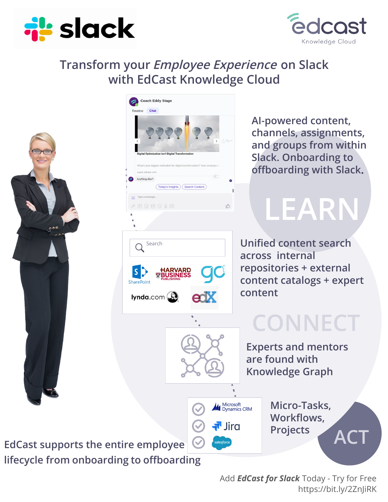



### **Transform your Employee Experience on Slack with EdCast Knowledge Cloud**





**AI-powered content, channels, assignments, and groups from within Slack. Onboarding to offboarding with Slack.**

**LEARN**

**Unified content search across internal repositories + external content catalogs + expert content** 

# **CONNECT**

**Experts and mentors are found with Knowledge Graph**

> **Micro-Tasks, Workflows,**

> > **ACT**

**Projects**

**EdCast supports the entire employee lifecycle from onboarding to offboarding**

> Add *EdCast for Slack* Today - Try for Free https://bit.ly/2ZnJiRK